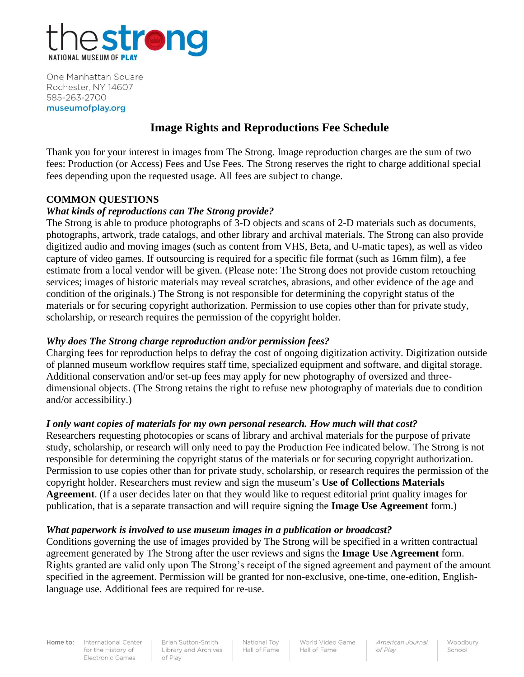

One Manhattan Square Rochester, NY 14607 585-263-2700 museumofplay.org

# **Image Rights and Reproductions Fee Schedule**

Thank you for your interest in images from The Strong. Image reproduction charges are the sum of two fees: Production (or Access) Fees and Use Fees. The Strong reserves the right to charge additional special fees depending upon the requested usage. All fees are subject to change.

#### **COMMON QUESTIONS**

#### *What kinds of reproductions can The Strong provide?*

The Strong is able to produce photographs of 3-D objects and scans of 2-D materials such as documents, photographs, artwork, trade catalogs, and other library and archival materials. The Strong can also provide digitized audio and moving images (such as content from VHS, Beta, and U-matic tapes), as well as video capture of video games. If outsourcing is required for a specific file format (such as 16mm film), a fee estimate from a local vendor will be given. (Please note: The Strong does not provide custom retouching services; images of historic materials may reveal scratches, abrasions, and other evidence of the age and condition of the originals.) The Strong is not responsible for determining the copyright status of the materials or for securing copyright authorization. Permission to use copies other than for private study, scholarship, or research requires the permission of the copyright holder.

#### *Why does The Strong charge reproduction and/or permission fees?*

Charging fees for reproduction helps to defray the cost of ongoing digitization activity. Digitization outside of planned museum workflow requires staff time, specialized equipment and software, and digital storage. Additional conservation and/or set-up fees may apply for new photography of oversized and threedimensional objects. (The Strong retains the right to refuse new photography of materials due to condition and/or accessibility.)

#### *I only want copies of materials for my own personal research. How much will that cost?*

Researchers requesting photocopies or scans of library and archival materials for the purpose of private study, scholarship, or research will only need to pay the Production Fee indicated below. The Strong is not responsible for determining the copyright status of the materials or for securing copyright authorization. Permission to use copies other than for private study, scholarship, or research requires the permission of the copyright holder. Researchers must review and sign the museum's **Use of Collections Materials Agreement**. (If a user decides later on that they would like to request editorial print quality images for publication, that is a separate transaction and will require signing the **Image Use Agreement** form.)

#### *What paperwork is involved to use museum images in a publication or broadcast?*

Conditions governing the use of images provided by The Strong will be specified in a written contractual agreement generated by The Strong after the user reviews and signs the **Image Use Agreement** form. Rights granted are valid only upon The Strong's receipt of the signed agreement and payment of the amount specified in the agreement. Permission will be granted for non-exclusive, one-time, one-edition, Englishlanguage use. Additional fees are required for re-use.

Home to:

International Center for the History of **Electronic Games** 

Brian Sutton-Smith Library and Archives of Play

National Toy Hall of Fame World Video Game Hall of Fame

American Journal of Play

Woodbury School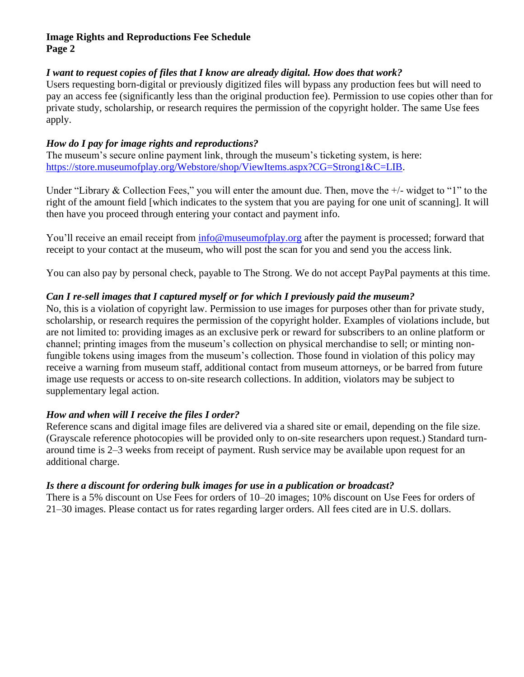#### *I want to request copies of files that I know are already digital. How does that work?*

Users requesting born-digital or previously digitized files will bypass any production fees but will need to pay an access fee (significantly less than the original production fee). Permission to use copies other than for private study, scholarship, or research requires the permission of the copyright holder. The same Use fees apply.

### *How do I pay for image rights and reproductions?*

The museum's secure online payment link, through the museum's ticketing system, is here: [https://store.museumofplay.org/Webstore/shop/ViewItems.aspx?CG=Strong1&C=LIB.](https://store.museumofplay.org/Webstore/shop/ViewItems.aspx?CG=Strong1&C=LIB)

Under "Library & Collection Fees," you will enter the amount due. Then, move the  $+/-$  widget to "1" to the right of the amount field [which indicates to the system that you are paying for one unit of scanning]. It will then have you proceed through entering your contact and payment info.

You'll receive an email receipt from [info@museumofplay.org](mailto:info@museumofplay.org) after the payment is processed; forward that receipt to your contact at the museum, who will post the scan for you and send you the access link.

You can also pay by personal check, payable to The Strong. We do not accept PayPal payments at this time.

## *Can I re-sell images that I captured myself or for which I previously paid the museum?*

No, this is a violation of copyright law. Permission to use images for purposes other than for private study, scholarship, or research requires the permission of the copyright holder. Examples of violations include, but are not limited to: providing images as an exclusive perk or reward for subscribers to an online platform or channel; printing images from the museum's collection on physical merchandise to sell; or minting nonfungible tokens using images from the museum's collection. Those found in violation of this policy may receive a warning from museum staff, additional contact from museum attorneys, or be barred from future image use requests or access to on-site research collections. In addition, violators may be subject to supplementary legal action.

#### *How and when will I receive the files I order?*

Reference scans and digital image files are delivered via a shared site or email, depending on the file size. (Grayscale reference photocopies will be provided only to on-site researchers upon request.) Standard turnaround time is 2–3 weeks from receipt of payment. Rush service may be available upon request for an additional charge.

#### *Is there a discount for ordering bulk images for use in a publication or broadcast?*

There is a 5% discount on Use Fees for orders of 10–20 images; 10% discount on Use Fees for orders of 21–30 images. Please contact us for rates regarding larger orders. All fees cited are in U.S. dollars.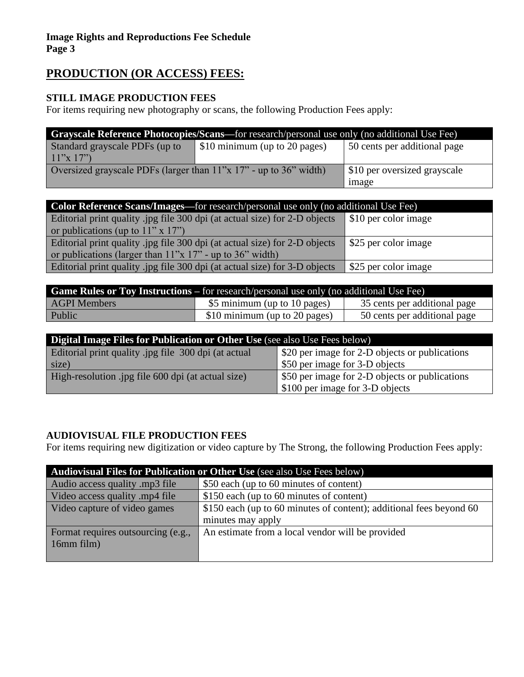# **PRODUCTION (OR ACCESS) FEES:**

## **STILL IMAGE PRODUCTION FEES**

For items requiring new photography or scans, the following Production Fees apply:

| <b>Grayscale Reference Photocopies/Scans—for research/personal use only (no additional Use Fee)</b> |                               |                              |  |  |
|-----------------------------------------------------------------------------------------------------|-------------------------------|------------------------------|--|--|
| Standard grayscale PDFs (up to                                                                      | \$10 minimum (up to 20 pages) | 50 cents per additional page |  |  |
| 11"x 17"                                                                                            |                               |                              |  |  |
| Oversized grayscale PDFs (larger than $11''x 17''$ - up to 36" width)                               |                               | \$10 per oversized grayscale |  |  |
|                                                                                                     |                               | <sub>1</sub> mage            |  |  |

| <b>Color Reference Scans/Images—for research/personal use only (no additional Use Fee)</b> |                      |  |  |
|--------------------------------------------------------------------------------------------|----------------------|--|--|
| Editorial print quality .jpg file 300 dpi (at actual size) for 2-D objects                 | \$10 per color image |  |  |
| or publications (up to $11" \times 17"$ )                                                  |                      |  |  |
| Editorial print quality .jpg file 300 dpi (at actual size) for 2-D objects                 | \$25 per color image |  |  |
| or publications (larger than $11$ "x $17$ " - up to $36$ " width)                          |                      |  |  |
| Editorial print quality .jpg file 300 dpi (at actual size) for 3-D objects                 | \$25 per color image |  |  |

| <b>Game Rules or Toy Instructions</b> – for research/personal use only (no additional Use Fee) |                               |                              |  |
|------------------------------------------------------------------------------------------------|-------------------------------|------------------------------|--|
| AGPI Members                                                                                   | \$5 minimum (up to 10 pages)  | 35 cents per additional page |  |
| Public                                                                                         | \$10 minimum (up to 20 pages) | 50 cents per additional page |  |

| Digital Image Files for Publication or Other Use (see also Use Fees below) |                                                |  |  |
|----------------------------------------------------------------------------|------------------------------------------------|--|--|
| Editorial print quality .jpg file 300 dpi (at actual                       | \$20 per image for 2-D objects or publications |  |  |
| size)                                                                      | \$50 per image for 3-D objects                 |  |  |
| High-resolution .jpg file 600 dpi (at actual size)                         | \$50 per image for 2-D objects or publications |  |  |
|                                                                            | \$100 per image for 3-D objects                |  |  |

## **AUDIOVISUAL FILE PRODUCTION FEES**

For items requiring new digitization or video capture by The Strong, the following Production Fees apply:

| Audiovisual Files for Publication or Other Use (see also Use Fees below) |                                                                     |  |
|--------------------------------------------------------------------------|---------------------------------------------------------------------|--|
| Audio access quality .mp3 file                                           | \$50 each (up to 60 minutes of content)                             |  |
| Video access quality .mp4 file                                           | \$150 each (up to 60 minutes of content)                            |  |
| Video capture of video games                                             | \$150 each (up to 60 minutes of content); additional fees beyond 60 |  |
|                                                                          | minutes may apply                                                   |  |
| Format requires outsourcing (e.g.,                                       | An estimate from a local vendor will be provided                    |  |
| 16mm film)                                                               |                                                                     |  |
|                                                                          |                                                                     |  |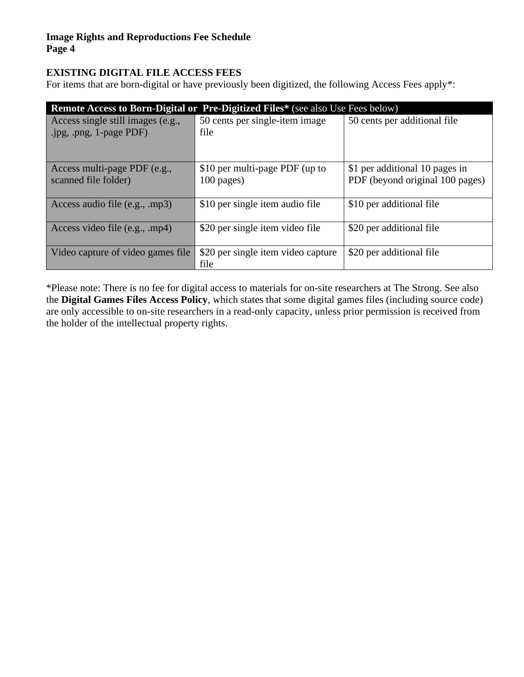## **EXISTING DIGITAL FILE ACCESS FEES**

For items that are born-digital or have previously been digitized, the following Access Fees apply\*:

| <b>Remote Access to Born-Digital or Pre-Digitized Files*</b> (see also Use Fees below) |                                                |                                                                   |  |  |
|----------------------------------------------------------------------------------------|------------------------------------------------|-------------------------------------------------------------------|--|--|
| Access single still images (e.g.,<br>.jpg, .png, 1-page PDF)                           | 50 cents per single-item image<br>file         | 50 cents per additional file                                      |  |  |
| Access multi-page PDF (e.g.,<br>scanned file folder)                                   | \$10 per multi-page PDF (up to<br>$100$ pages) | \$1 per additional 10 pages in<br>PDF (beyond original 100 pages) |  |  |
| Access audio file (e.g., mp3)                                                          | \$10 per single item audio file                | \$10 per additional file                                          |  |  |
| Access video file (e.g., .mp4)                                                         | \$20 per single item video file                | \$20 per additional file                                          |  |  |
| Video capture of video games file                                                      | \$20 per single item video capture<br>file     | \$20 per additional file                                          |  |  |

\*Please note: There is no fee for digital access to materials for on-site researchers at The Strong. See also the **Digital Games Files Access Policy**, which states that some digital games files (including source code) are only accessible to on-site researchers in a read-only capacity, unless prior permission is received from the holder of the intellectual property rights.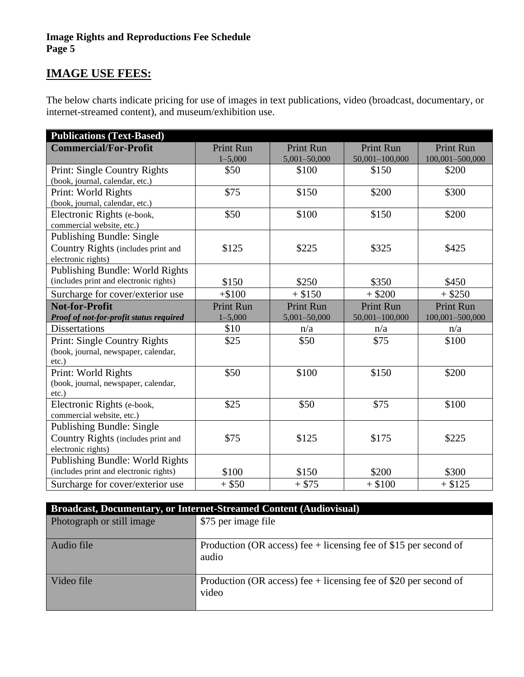# **IMAGE USE FEES:**

The below charts indicate pricing for use of images in text publications, video (broadcast, documentary, or internet-streamed content), and museum/exhibition use.

| <b>Publications (Text-Based)</b>        |                  |                  |                  |                  |
|-----------------------------------------|------------------|------------------|------------------|------------------|
| <b>Commercial/For-Profit</b>            | <b>Print Run</b> | <b>Print Run</b> | <b>Print Run</b> | <b>Print Run</b> |
|                                         | $1 - 5,000$      | 5,001-50,000     | 50,001-100,000   | 100,001-500,000  |
| Print: Single Country Rights            | \$50             | \$100            | \$150            | \$200            |
| (book, journal, calendar, etc.)         |                  |                  |                  |                  |
| Print: World Rights                     | \$75             | \$150            | \$200            | \$300            |
| (book, journal, calendar, etc.)         |                  |                  |                  |                  |
| Electronic Rights (e-book,              | \$50             | \$100            | \$150            | \$200            |
| commercial website, etc.)               |                  |                  |                  |                  |
| Publishing Bundle: Single               |                  |                  |                  |                  |
| Country Rights (includes print and      | \$125            | \$225            | \$325            | \$425            |
| electronic rights)                      |                  |                  |                  |                  |
| Publishing Bundle: World Rights         |                  |                  |                  |                  |
| (includes print and electronic rights)  | \$150            | \$250            | \$350            | \$450            |
| Surcharge for cover/exterior use        | $+ $100$         | $+$ \$150        | $+$ \$200        | $+$ \$250        |
| <b>Not-for-Profit</b>                   | <b>Print Run</b> | <b>Print Run</b> | <b>Print Run</b> | <b>Print Run</b> |
| Proof of not-for-profit status required | $1 - 5,000$      | 5,001-50,000     | 50,001-100,000   | 100,001-500,000  |
| <b>Dissertations</b>                    | \$10             | n/a              | n/a              | n/a              |
| Print: Single Country Rights            | \$25             | \$50             | \$75             | \$100            |
| (book, journal, newspaper, calendar,    |                  |                  |                  |                  |
| $etc.$ )                                |                  |                  |                  |                  |
| Print: World Rights                     | \$50             | \$100            | \$150            | \$200            |
| (book, journal, newspaper, calendar,    |                  |                  |                  |                  |
| $etc.$ )                                |                  |                  |                  |                  |
| Electronic Rights (e-book,              | \$25             | \$50             | \$75             | \$100            |
| commercial website, etc.)               |                  |                  |                  |                  |
| <b>Publishing Bundle: Single</b>        |                  |                  |                  |                  |
| Country Rights (includes print and      | \$75             | \$125            | \$175            | \$225            |
| electronic rights)                      |                  |                  |                  |                  |
| Publishing Bundle: World Rights         |                  |                  |                  |                  |
| (includes print and electronic rights)  | \$100            | \$150            | \$200            | \$300            |
| Surcharge for cover/exterior use        | $+$ \$50         | $+$ \$75         | $+$ \$100        | $+$ \$125        |

| <b>Broadcast, Documentary, or Internet-Streamed Content (Audiovisual)</b> |                                                                             |  |  |
|---------------------------------------------------------------------------|-----------------------------------------------------------------------------|--|--|
| Photograph or still image                                                 | \$75 per image file                                                         |  |  |
| Audio file                                                                | Production (OR access) fee $+$ licensing fee of \$15 per second of<br>audio |  |  |
| Video file                                                                | Production (OR access) fee $+$ licensing fee of \$20 per second of<br>video |  |  |